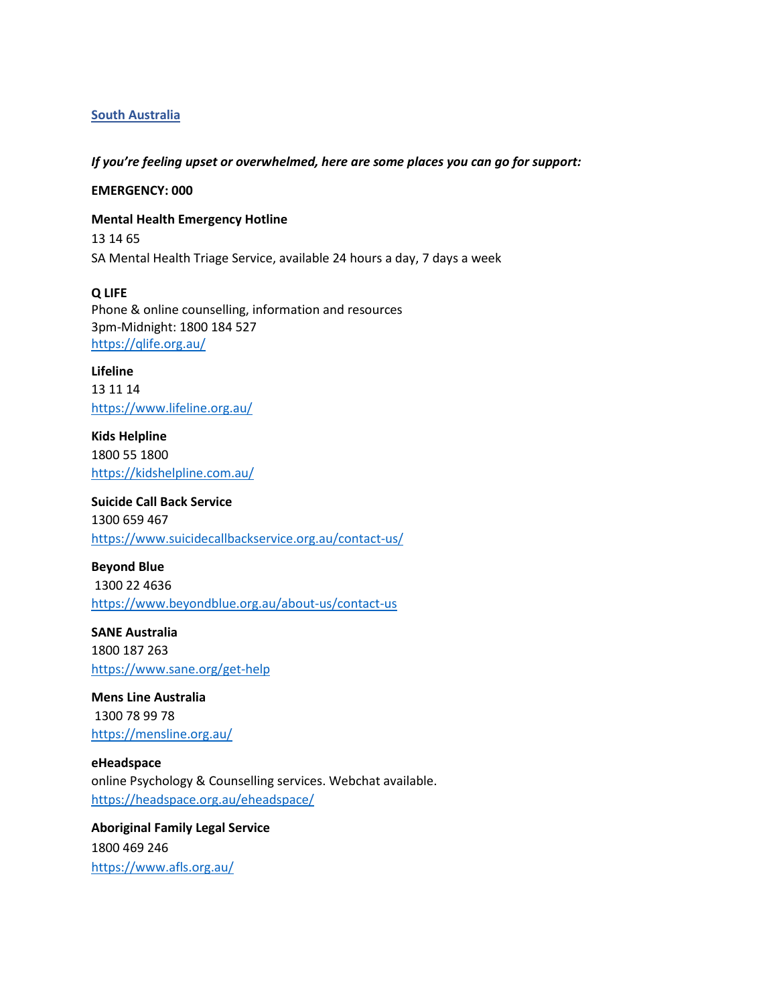## **South Australia**

#### *If you're feeling upset or overwhelmed, here are some places you can go for support:*

### **EMERGENCY: 000**

**Mental Health Emergency Hotline**  13 14 65 SA Mental Health Triage Service, available 24 hours a day, 7 days a week

**Q LIFE** Phone & online counselling, information and resources 3pm-Midnight: 1800 184 527 <https://qlife.org.au/>

**Lifeline**  13 11 14 <https://www.lifeline.org.au/>

**Kids Helpline** 1800 55 1800 <https://kidshelpline.com.au/>

**Suicide Call Back Service** 1300 659 467 <https://www.suicidecallbackservice.org.au/contact-us/>

**Beyond Blue** 1300 22 4636 <https://www.beyondblue.org.au/about-us/contact-us>

**SANE Australia** 1800 187 263 <https://www.sane.org/get-help>

**Mens Line Australia** 1300 78 99 78 <https://mensline.org.au/>

**eHeadspace** online Psychology & Counselling services. Webchat available. <https://headspace.org.au/eheadspace/>

**Aboriginal Family Legal Service** 1800 469 246 <https://www.afls.org.au/>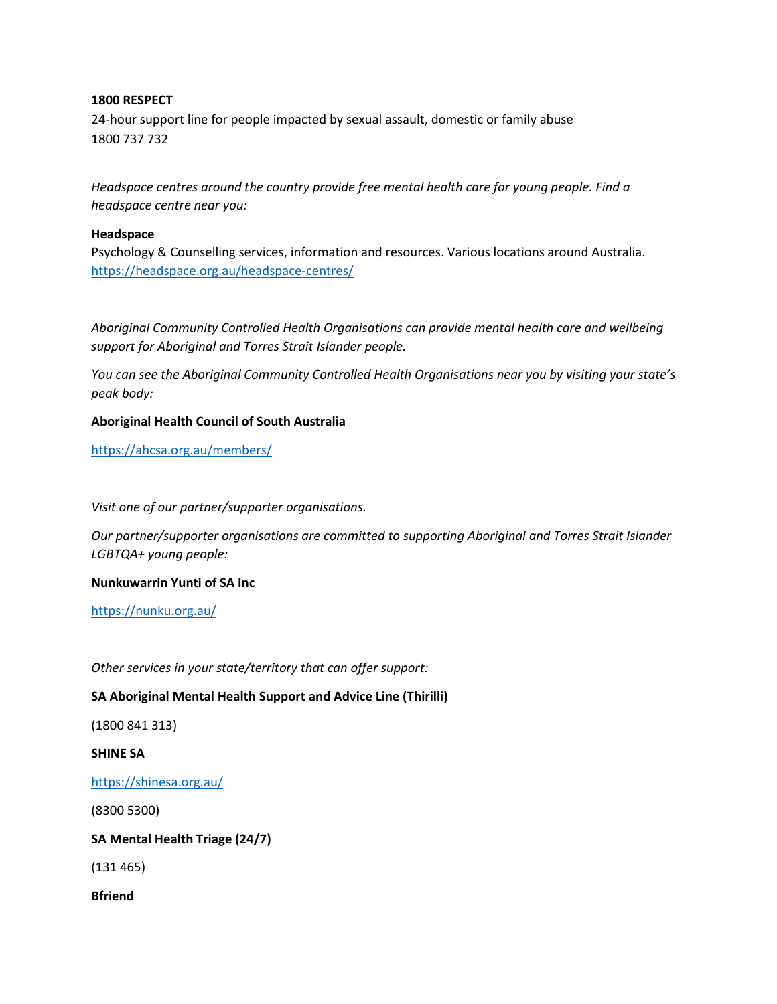## **1800 RESPECT**

24-hour support line for people impacted by sexual assault, domestic or family abuse 1800 737 732

*Headspace centres around the country provide free mental health care for young people. Find a headspace centre near you:*

### **Headspace**

Psychology & Counselling services, information and resources. Various locations around Australia. <https://headspace.org.au/headspace-centres/>

*Aboriginal Community Controlled Health Organisations can provide mental health care and wellbeing support for Aboriginal and Torres Strait Islander people.* 

*You can see the Aboriginal Community Controlled Health Organisations near you by visiting your state's peak body:*

## **Aboriginal Health Council of South Australia**

<https://ahcsa.org.au/members/>

*Visit one of our partner/supporter organisations.*

*Our partner/supporter organisations are committed to supporting Aboriginal and Torres Strait Islander LGBTQA+ young people:*

**Nunkuwarrin Yunti of SA Inc**

<https://nunku.org.au/>

*Other services in your state/territory that can offer support:*

# **SA Aboriginal Mental Health Support and Advice Line (Thirilli)**

(1800 841 313)

**SHINE SA**

<https://shinesa.org.au/>

(8300 5300)

**SA Mental Health Triage (24/7)** 

(131 465)

**Bfriend**